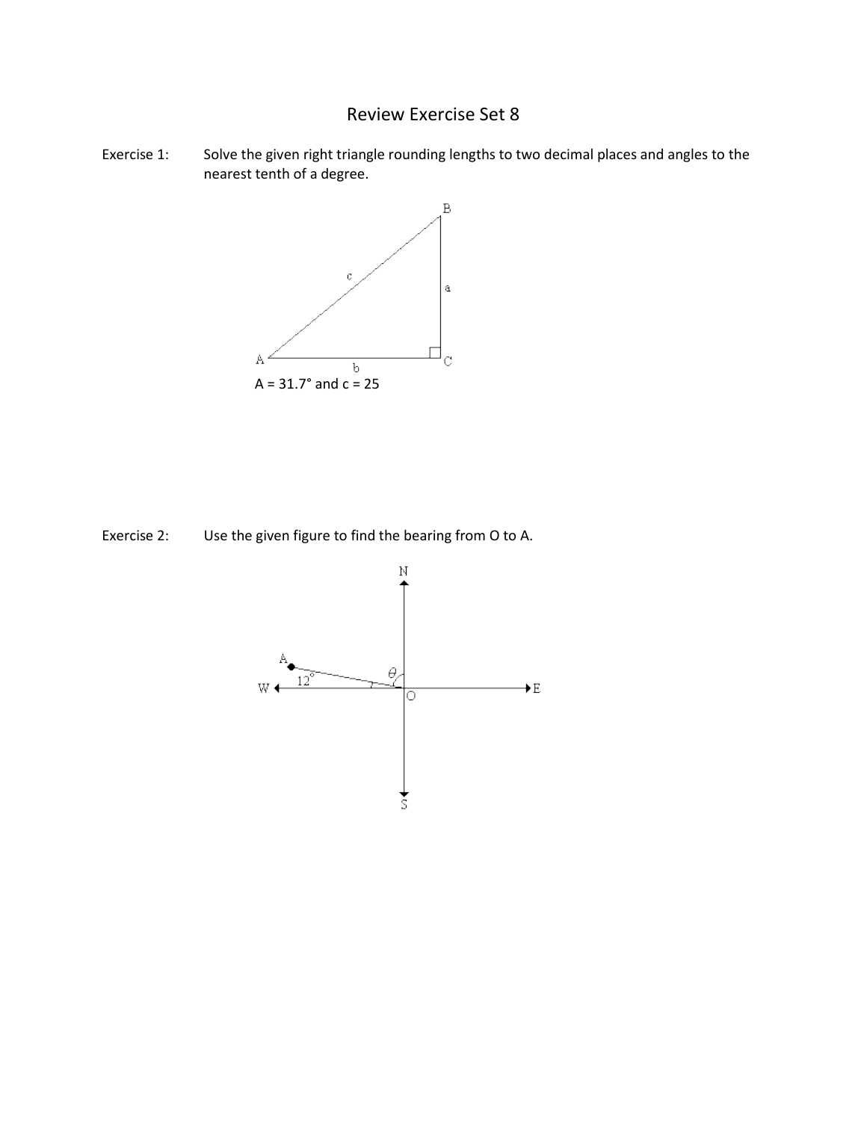## Review Exercise Set 8

Exercise 1: Solve the given right triangle rounding lengths to two decimal places and angles to the nearest tenth of a degree.



Exercise 2: Use the given figure to find the bearing from O to A.

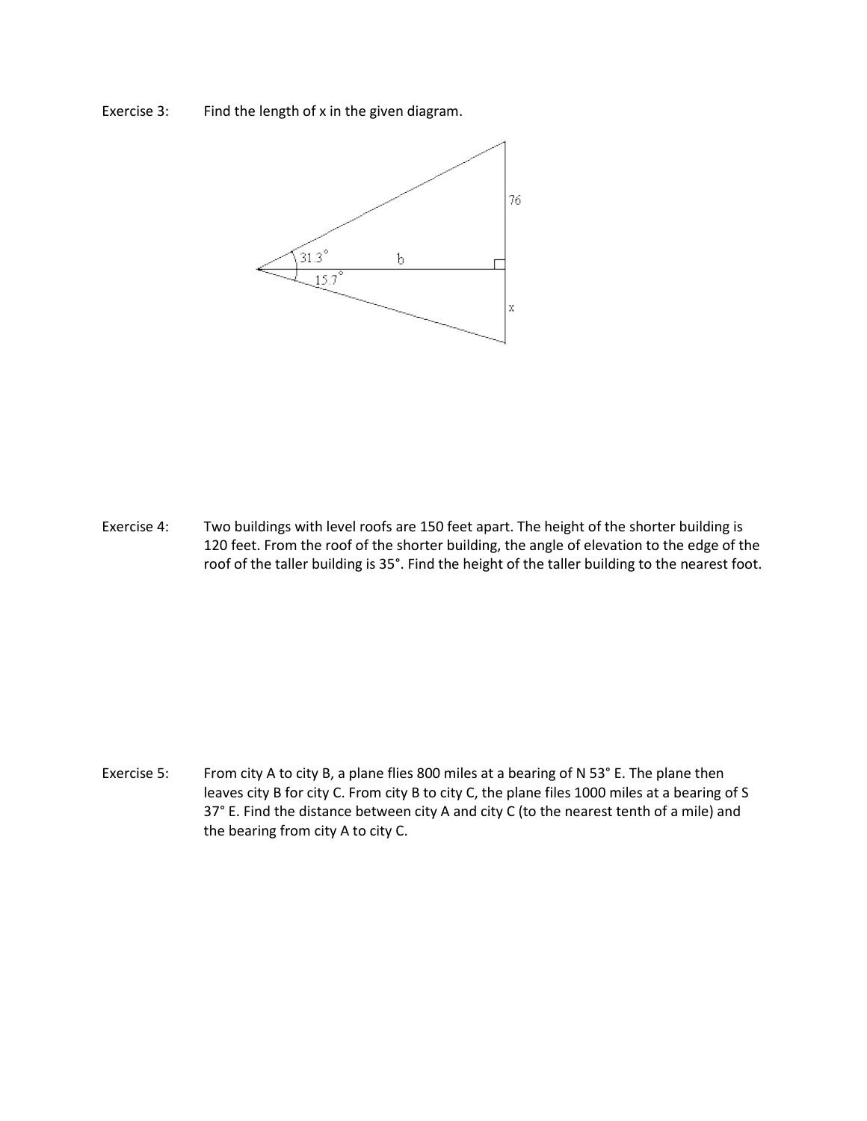Exercise 3: Find the length of x in the given diagram.



Exercise 4: Two buildings with level roofs are 150 feet apart. The height of the shorter building is 120 feet. From the roof of the shorter building, the angle of elevation to the edge of the roof of the taller building is 35°. Find the height of the taller building to the nearest foot.

Exercise 5: From city A to city B, a plane flies 800 miles at a bearing of N 53° E. The plane then leaves city B for city C. From city B to city C, the plane files 1000 miles at a bearing of S 37° E. Find the distance between city A and city C (to the nearest tenth of a mile) and the bearing from city A to city C.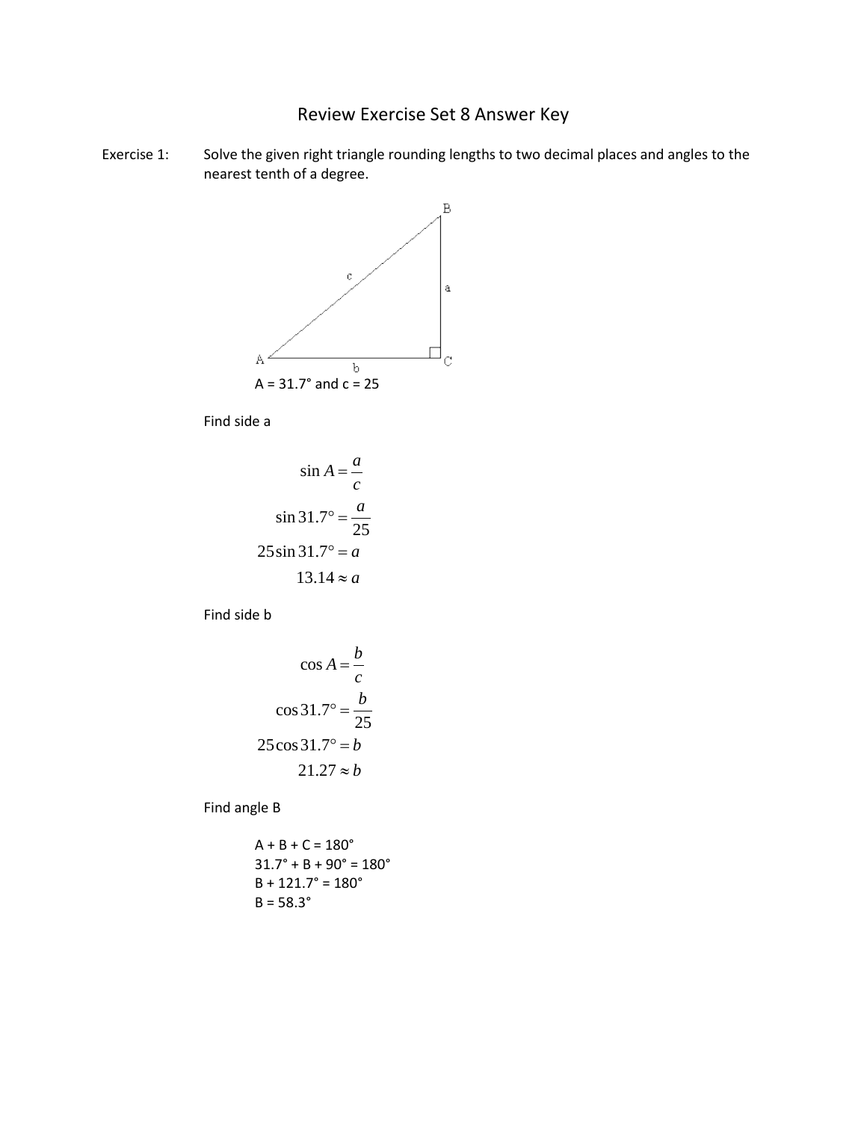## Review Exercise Set 8 Answer Key

Exercise 1: Solve the given right triangle rounding lengths to two decimal places and angles to the nearest tenth of a degree.



Find side a

$$
\sin A = \frac{a}{c}
$$

$$
\sin 31.7^\circ = \frac{a}{25}
$$

$$
25 \sin 31.7^\circ = a
$$

$$
13.14 \approx a
$$

Find side b

$$
\cos A = \frac{b}{c}
$$

$$
\cos 31.7^\circ = \frac{b}{25}
$$

$$
25 \cos 31.7^\circ = b
$$

$$
21.27 \approx b
$$

Find angle B

$$
A + B + C = 180^{\circ}
$$
  
31.7° + B + 90° = 180°  
B + 121.7° = 180°  
B = 58.3°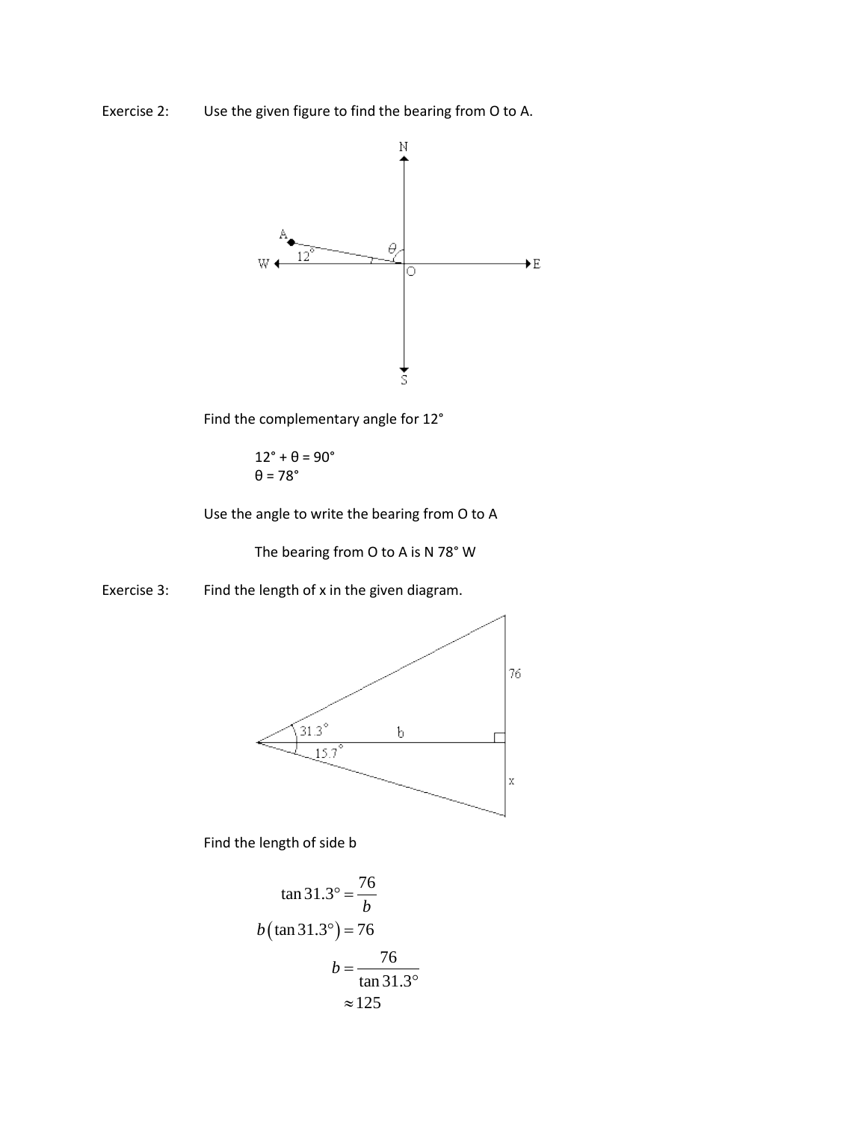Exercise 2: Use the given figure to find the bearing from O to A.



Find the complementary angle for 12°

 $12^\circ + \theta = 90^\circ$  $\theta$  = 78°

Use the angle to write the bearing from O to A

The bearing from O to A is N 78° W

Exercise 3: Find the length of x in the given diagram.



Find the length of side b

$$
\tan 31.3^\circ = \frac{76}{b}
$$
  

$$
b(\tan 31.3^\circ) = 76
$$
  

$$
b = \frac{76}{\tan 31.3^\circ}
$$
  

$$
\approx 125
$$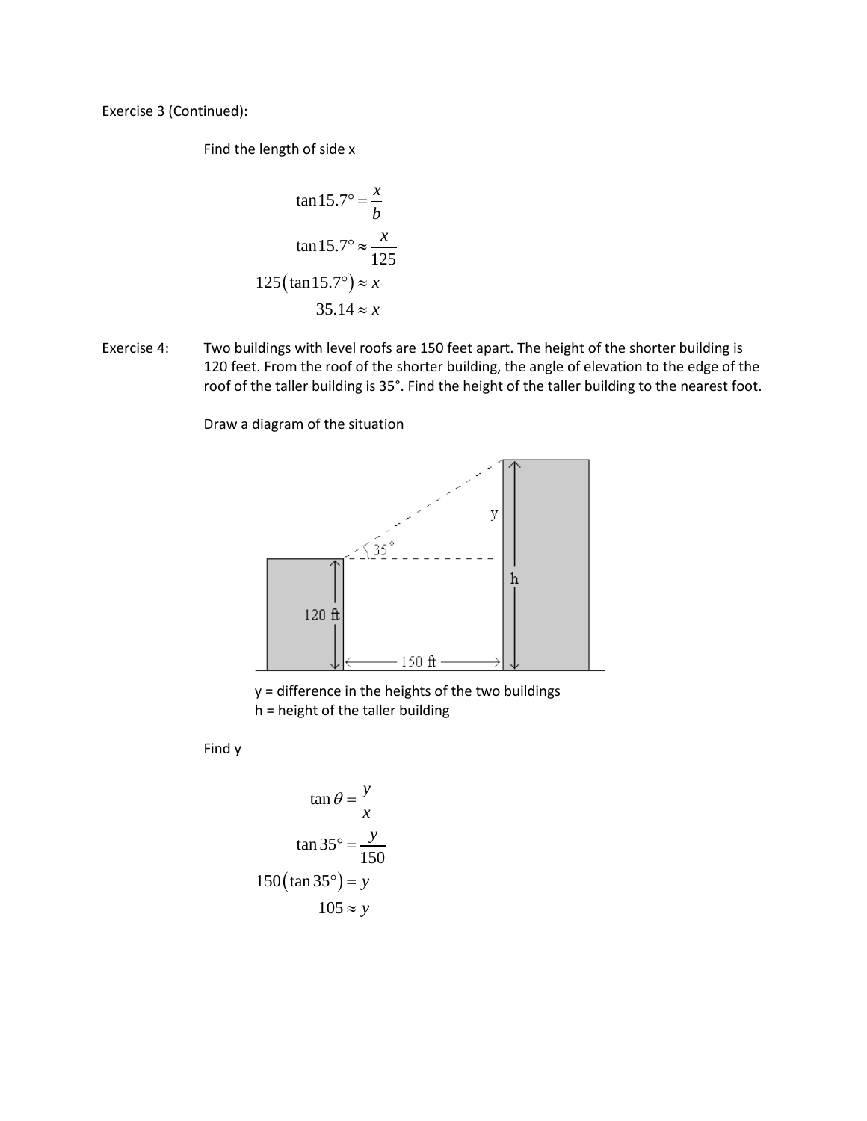Exercise 3 (Continued):

Find the length of side x

$$
\tan 15.7^\circ = \frac{x}{b}
$$

$$
\tan 15.7^\circ \approx \frac{x}{125}
$$

$$
125(\tan 15.7^\circ) \approx x
$$

$$
35.14 \approx x
$$

Exercise 4: Two buildings with level roofs are 150 feet apart. The height of the shorter building is 120 feet. From the roof of the shorter building, the angle of elevation to the edge of the roof of the taller building is 35°. Find the height of the taller building to the nearest foot.

Draw a diagram of the situation



y = difference in the heights of the two buildings

h = height of the taller building

Find y

$$
\tan \theta = \frac{y}{x}
$$

$$
\tan 35^\circ = \frac{y}{150}
$$

$$
150(\tan 35^\circ) = y
$$

$$
105 \approx y
$$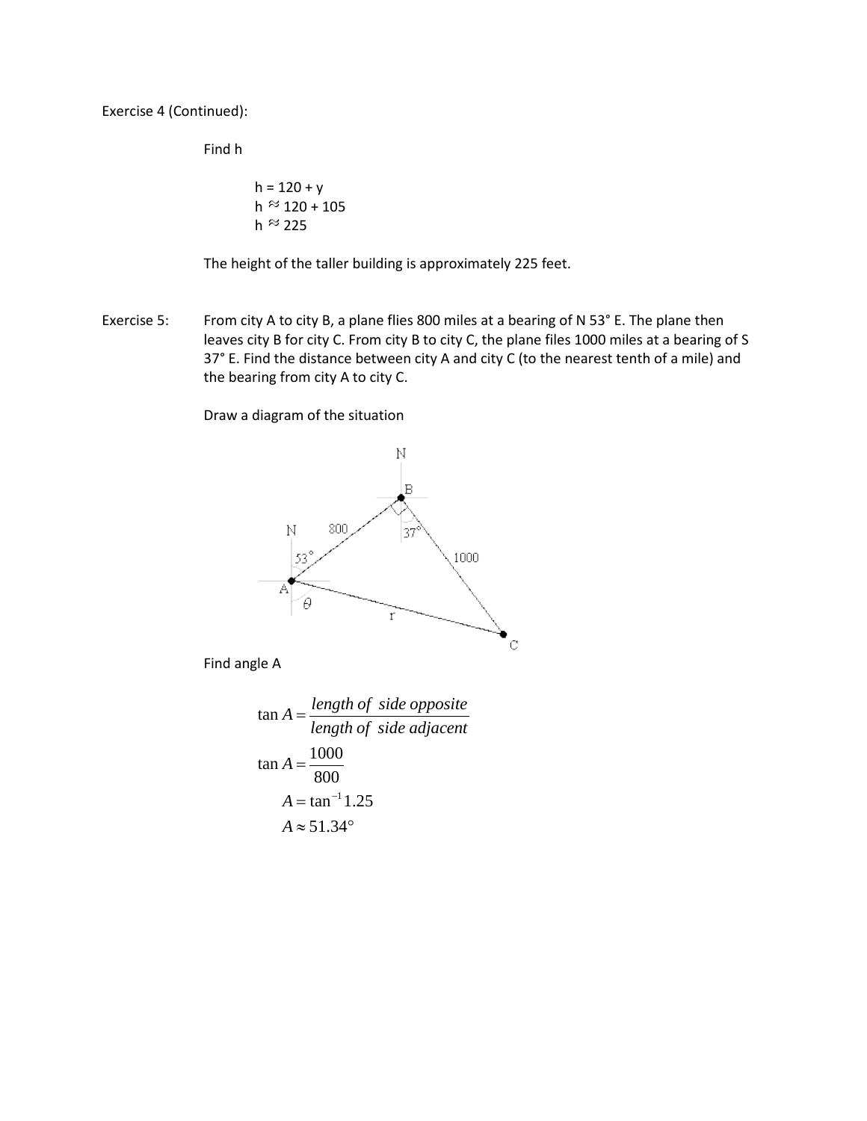Exercise 4 (Continued):

Find h

$$
h = 120 + y
$$
  
h  $\approx$  120 + 105  
h  $\approx$  225

The height of the taller building is approximately 225 feet.

Exercise 5: From city A to city B, a plane flies 800 miles at a bearing of N 53° E. The plane then leaves city B for city C. From city B to city C, the plane files 1000 miles at a bearing of S 37° E. Find the distance between city A and city C (to the nearest tenth of a mile) and the bearing from city A to city C.

Draw a diagram of the situation



Find angle A

$$
\tan A = \frac{length \ of \ side \ opposite}{length \ of \ side \ adjacent}
$$

$$
\tan A = \frac{1000}{800}
$$

$$
A = \tan^{-1} 1.25
$$

$$
A \approx 51.34^{\circ}
$$